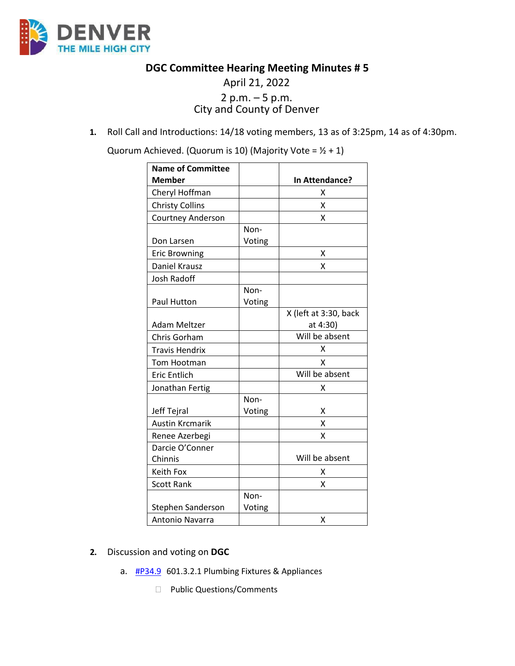

**DGC Committee Hearing Meeting Minutes # 5**

## April 21, 2022 2 p.m. – 5 p.m. City and County of Denver

**1.** Roll Call and Introductions: 14/18 voting members, 13 as of 3:25pm, 14 as of 4:30pm.

Quorum Achieved. (Quorum is 10) (Majority Vote =  $1/2 + 1$ )

| <b>Name of Committee</b> |        |                       |
|--------------------------|--------|-----------------------|
| <b>Member</b>            |        | In Attendance?        |
| Cheryl Hoffman           |        | χ                     |
| <b>Christy Collins</b>   |        | X                     |
| Courtney Anderson        |        | x                     |
|                          | Non-   |                       |
| Don Larsen               | Voting |                       |
| <b>Eric Browning</b>     |        | x                     |
| Daniel Krausz            |        | X                     |
| <b>Josh Radoff</b>       |        |                       |
|                          | Non-   |                       |
| Paul Hutton              | Voting |                       |
|                          |        | X (left at 3:30, back |
| <b>Adam Meltzer</b>      |        | at 4:30)              |
| Chris Gorham             |        | Will be absent        |
| <b>Travis Hendrix</b>    |        | X                     |
| Tom Hootman              |        | x                     |
| <b>Eric Entlich</b>      |        | Will be absent        |
| Jonathan Fertig          |        | χ                     |
|                          | Non-   |                       |
| Jeff Tejral              | Voting | x                     |
| <b>Austin Krcmarik</b>   |        | Χ                     |
| Renee Azerbegi           |        | X                     |
| Darcie O'Conner          |        |                       |
| Chinnis                  |        | Will be absent        |
| Keith Fox                |        | χ                     |
| <b>Scott Rank</b>        |        | Χ                     |
|                          | Non-   |                       |
| Stephen Sanderson        | Voting |                       |
| Antonio Navarra          |        | Χ                     |

- **2.** Discussion and voting on **DGC** 
	- a.  $\frac{\text{#P34.9}}{\text{#P34.9}}$  $\frac{\text{#P34.9}}{\text{#P34.9}}$  $\frac{\text{#P34.9}}{\text{#P34.9}}$  601.3.2.1 Plumbing Fixtures & Appliances
		- Public Questions/Comments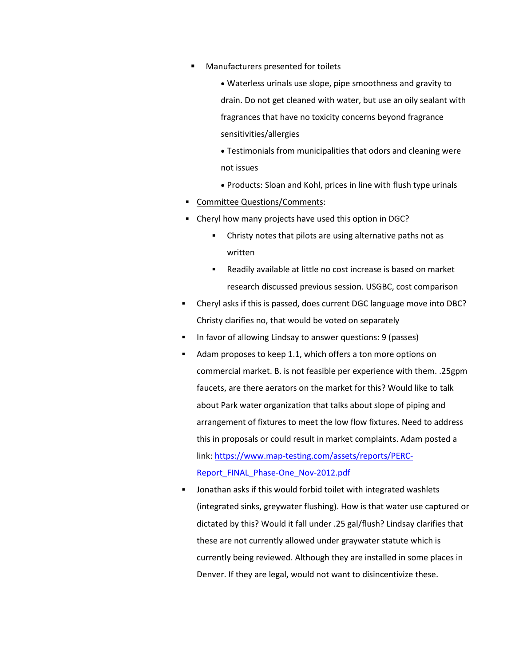- Manufacturers presented for toilets
	- Waterless urinals use slope, pipe smoothness and gravity to drain. Do not get cleaned with water, but use an oily sealant with fragrances that have no toxicity concerns beyond fragrance sensitivities/allergies
	- Testimonials from municipalities that odors and cleaning were not issues
	- Products: Sloan and Kohl, prices in line with flush type urinals
- Committee Questions/Comments:
- Cheryl how many projects have used this option in DGC?
	- Christy notes that pilots are using alternative paths not as written
	- Readily available at little no cost increase is based on market research discussed previous session. USGBC, cost comparison
- Cheryl asks if this is passed, does current DGC language move into DBC? Christy clarifies no, that would be voted on separately
- In favor of allowing Lindsay to answer questions: 9 (passes)
- Adam proposes to keep 1.1, which offers a ton more options on commercial market. B. is not feasible per experience with them. .25gpm faucets, are there aerators on the market for this? Would like to talk about Park water organization that talks about slope of piping and arrangement of fixtures to meet the low flow fixtures. Need to address this in proposals or could result in market complaints. Adam posted a link: [https://www.map-testing.com/assets/reports/PERC-](https://www.map-testing.com/assets/reports/PERC-Report_FINAL_Phase-One_Nov-2012.pdf)[Report\\_FINAL\\_Phase-One\\_Nov-2012.pdf](https://www.map-testing.com/assets/reports/PERC-Report_FINAL_Phase-One_Nov-2012.pdf)
- Jonathan asks if this would forbid toilet with integrated washlets (integrated sinks, greywater flushing). How is that water use captured or dictated by this? Would it fall under .25 gal/flush? Lindsay clarifies that these are not currently allowed under graywater statute which is currently being reviewed. Although they are installed in some places in Denver. If they are legal, would not want to disincentivize these.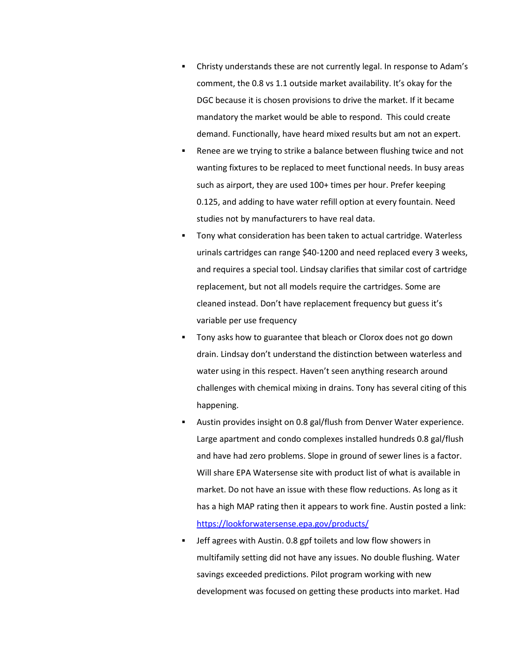- Christy understands these are not currently legal. In response to Adam's comment, the 0.8 vs 1.1 outside market availability. It's okay for the DGC because it is chosen provisions to drive the market. If it became mandatory the market would be able to respond. This could create demand. Functionally, have heard mixed results but am not an expert.
- Renee are we trying to strike a balance between flushing twice and not wanting fixtures to be replaced to meet functional needs. In busy areas such as airport, they are used 100+ times per hour. Prefer keeping 0.125, and adding to have water refill option at every fountain. Need studies not by manufacturers to have real data.
- Tony what consideration has been taken to actual cartridge. Waterless urinals cartridges can range \$40-1200 and need replaced every 3 weeks, and requires a special tool. Lindsay clarifies that similar cost of cartridge replacement, but not all models require the cartridges. Some are cleaned instead. Don't have replacement frequency but guess it's variable per use frequency
- Tony asks how to guarantee that bleach or Clorox does not go down drain. Lindsay don't understand the distinction between waterless and water using in this respect. Haven't seen anything research around challenges with chemical mixing in drains. Tony has several citing of this happening.
- Austin provides insight on 0.8 gal/flush from Denver Water experience. Large apartment and condo complexes installed hundreds 0.8 gal/flush and have had zero problems. Slope in ground of sewer lines is a factor. Will share EPA Watersense site with product list of what is available in market. Do not have an issue with these flow reductions. As long as it has a high MAP rating then it appears to work fine. Austin posted a link: <https://lookforwatersense.epa.gov/products/>
- Jeff agrees with Austin. 0.8 gpf toilets and low flow showers in multifamily setting did not have any issues. No double flushing. Water savings exceeded predictions. Pilot program working with new development was focused on getting these products into market. Had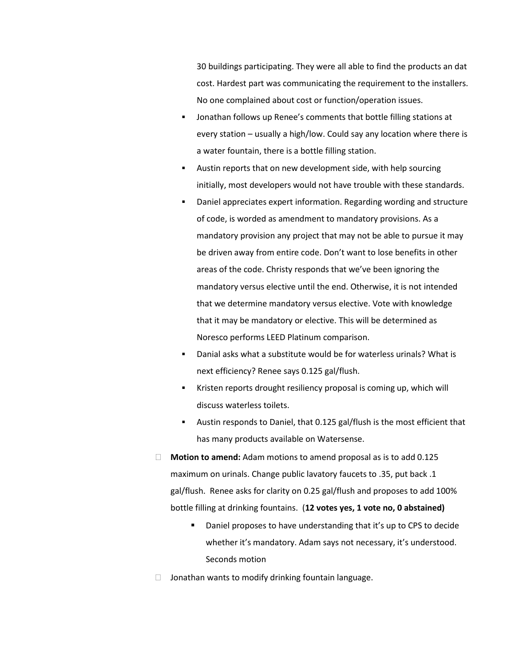30 buildings participating. They were all able to find the products an dat cost. Hardest part was communicating the requirement to the installers. No one complained about cost or function/operation issues.

- Jonathan follows up Renee's comments that bottle filling stations at every station – usually a high/low. Could say any location where there is a water fountain, there is a bottle filling station.
- Austin reports that on new development side, with help sourcing initially, most developers would not have trouble with these standards.
- Daniel appreciates expert information. Regarding wording and structure of code, is worded as amendment to mandatory provisions. As a mandatory provision any project that may not be able to pursue it may be driven away from entire code. Don't want to lose benefits in other areas of the code. Christy responds that we've been ignoring the mandatory versus elective until the end. Otherwise, it is not intended that we determine mandatory versus elective. Vote with knowledge that it may be mandatory or elective. This will be determined as Noresco performs LEED Platinum comparison.
- Danial asks what a substitute would be for waterless urinals? What is next efficiency? Renee says 0.125 gal/flush.
- Kristen reports drought resiliency proposal is coming up, which will discuss waterless toilets.
- Austin responds to Daniel, that 0.125 gal/flush is the most efficient that has many products available on Watersense.
- **Motion to amend:** Adam motions to amend proposal as is to add 0.125 maximum on urinals. Change public lavatory faucets to .35, put back .1 gal/flush. Renee asks for clarity on 0.25 gal/flush and proposes to add 100% bottle filling at drinking fountains. (**12 votes yes, 1 vote no, 0 abstained)**
	- Daniel proposes to have understanding that it's up to CPS to decide whether it's mandatory. Adam says not necessary, it's understood. Seconds motion
- $\Box$  Jonathan wants to modify drinking fountain language.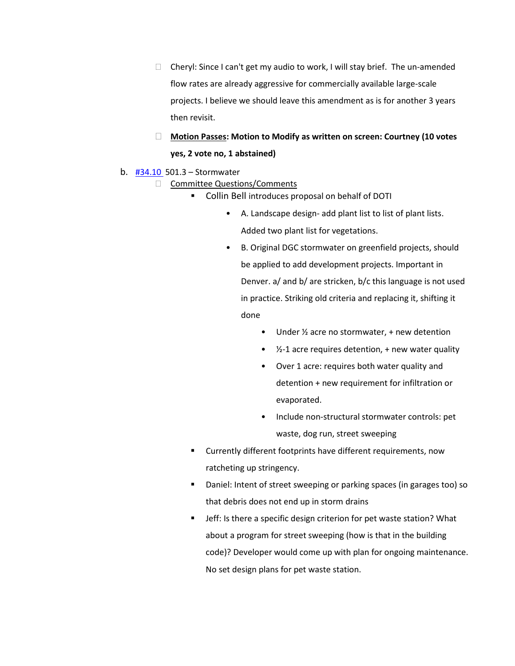- □ Cheryl: Since I can't get my audio to work, I will stay brief. The un-amended flow rates are already aggressive for commercially available large-scale projects. I believe we should leave this amendment as is for another 3 years then revisit.
- **Motion Passes: Motion to Modify as written on screen: Courtney (10 votes yes, 2 vote no, 1 abstained)**
- b. [#34.10](https://www.denvergov.org/files/assets/public/community-planning-and-development/documents/ds/building-codes/code-adoption/amendment-proposals/dgc/34.10_dgc_501.3-stormwater.pdf) 501.3 Stormwater
	- □ Committee Questions/Comments
		- **Collin Bell introduces proposal on behalf of DOTI** 
			- A. Landscape design- add plant list to list of plant lists. Added two plant list for vegetations.
			- B. Original DGC stormwater on greenfield projects, should be applied to add development projects. Important in Denver. a/ and b/ are stricken, b/c this language is not used in practice. Striking old criteria and replacing it, shifting it done
				- Under  $\frac{1}{2}$  acre no stormwater, + new detention
				- $\bullet$   $\frac{1}{2}$ -1 acre requires detention, + new water quality
				- Over 1 acre: requires both water quality and detention + new requirement for infiltration or evaporated.
				- Include non-structural stormwater controls: pet waste, dog run, street sweeping
		- **EXECUTE:** Currently different footprints have different requirements, now ratcheting up stringency.
		- Daniel: Intent of street sweeping or parking spaces (in garages too) so that debris does not end up in storm drains
		- **EXT** Jeff: Is there a specific design criterion for pet waste station? What about a program for street sweeping (how is that in the building code)? Developer would come up with plan for ongoing maintenance. No set design plans for pet waste station.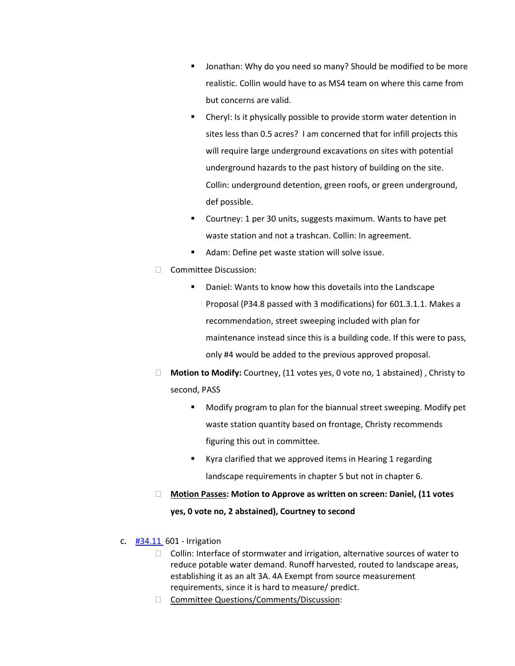- Jonathan: Why do you need so many? Should be modified to be more realistic. Collin would have to as MS4 team on where this came from but concerns are valid.
- **EXECHERY** Cheryl: Is it physically possible to provide storm water detention in sites less than 0.5 acres? I am concerned that for infill projects this will require large underground excavations on sites with potential underground hazards to the past history of building on the site. Collin: underground detention, green roofs, or green underground, def possible.
- Courtney: 1 per 30 units, suggests maximum. Wants to have pet waste station and not a trashcan. Collin: In agreement.
- Adam: Define pet waste station will solve issue.
- Committee Discussion:
	- Daniel: Wants to know how this dovetails into the Landscape Proposal (P34.8 passed with 3 modifications) for 601.3.1.1. Makes a recommendation, street sweeping included with plan for maintenance instead since this is a building code. If this were to pass, only #4 would be added to the previous approved proposal.
- **Motion to Modify:** Courtney, (11 votes yes, 0 vote no, 1 abstained) , Christy to second, PASS
	- Modify program to plan for the biannual street sweeping. Modify pet waste station quantity based on frontage, Christy recommends figuring this out in committee.
	- Kyra clarified that we approved items in Hearing 1 regarding landscape requirements in chapter 5 but not in chapter 6.
- **Motion Passes: Motion to Approve as written on screen: Daniel, (11 votes yes, 0 vote no, 2 abstained), Courtney to second**
- c. [#34.11](https://www.denvergov.org/files/assets/public/community-planning-and-development/documents/ds/building-codes/code-adoption/amendment-proposals/dgc/34.11_dgc_601-irrigation.pdf) 601 Irrigation
	- $\Box$  Collin: Interface of stormwater and irrigation, alternative sources of water to reduce potable water demand. Runoff harvested, routed to landscape areas, establishing it as an alt 3A. 4A Exempt from source measurement requirements, since it is hard to measure/ predict.
	- Committee Questions/Comments/Discussion: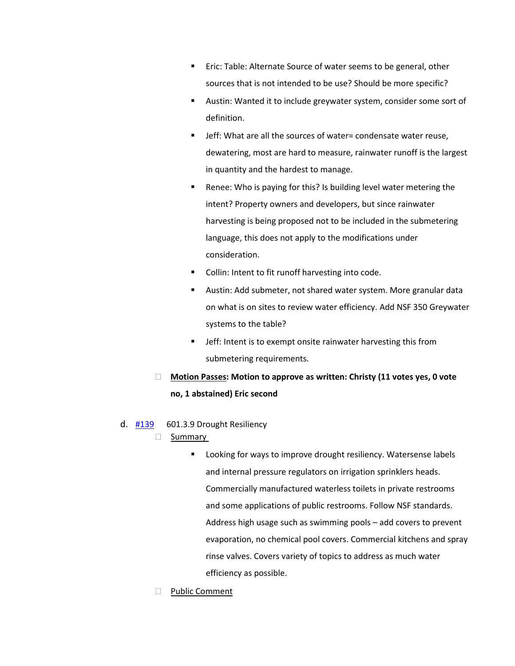- **EXECO**: Table: Alternate Source of water seems to be general, other sources that is not intended to be use? Should be more specific?
- Austin: Wanted it to include greywater system, consider some sort of definition.
- Jeff: What are all the sources of water= condensate water reuse, dewatering, most are hard to measure, rainwater runoff is the largest in quantity and the hardest to manage.
- Renee: Who is paying for this? Is building level water metering the intent? Property owners and developers, but since rainwater harvesting is being proposed not to be included in the submetering language, this does not apply to the modifications under consideration.
- Collin: Intent to fit runoff harvesting into code.
- Austin: Add submeter, not shared water system. More granular data on what is on sites to review water efficiency. Add NSF 350 Greywater systems to the table?
- Jeff: Intent is to exempt onsite rainwater harvesting this from submetering requirements.
- **Motion Passes: Motion to approve as written: Christy (11 votes yes, 0 vote no, 1 abstained) Eric second**

## d.  $\frac{\#139}{4}$  $\frac{\#139}{4}$  $\frac{\#139}{4}$  601.3.9 Drought Resiliency

- □ Summary
	- **Looking for ways to improve drought resiliency. Watersense labels** and internal pressure regulators on irrigation sprinklers heads. Commercially manufactured waterless toilets in private restrooms and some applications of public restrooms. Follow NSF standards. Address high usage such as swimming pools – add covers to prevent evaporation, no chemical pool covers. Commercial kitchens and spray rinse valves. Covers variety of topics to address as much water efficiency as possible.
- D Public Comment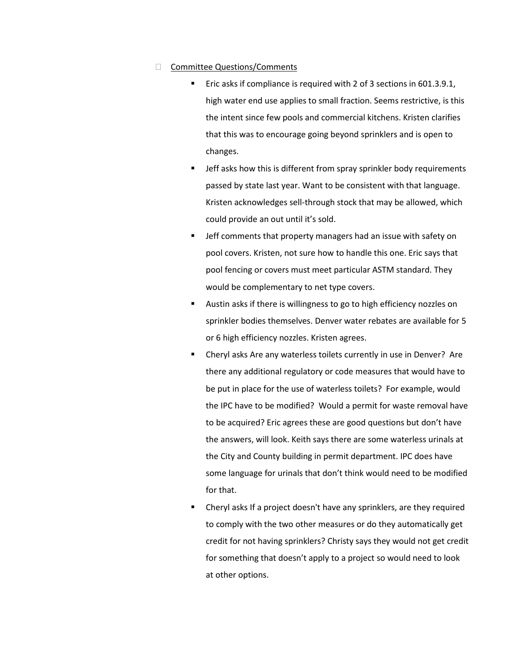## □ Committee Questions/Comments

- Eric asks if compliance is required with 2 of 3 sections in 601.3.9.1, high water end use applies to small fraction. Seems restrictive, is this the intent since few pools and commercial kitchens. Kristen clarifies that this was to encourage going beyond sprinklers and is open to changes.
- Jeff asks how this is different from spray sprinkler body requirements passed by state last year. Want to be consistent with that language. Kristen acknowledges sell-through stock that may be allowed, which could provide an out until it's sold.
- Jeff comments that property managers had an issue with safety on pool covers. Kristen, not sure how to handle this one. Eric says that pool fencing or covers must meet particular ASTM standard. They would be complementary to net type covers.
- Austin asks if there is willingness to go to high efficiency nozzles on sprinkler bodies themselves. Denver water rebates are available for 5 or 6 high efficiency nozzles. Kristen agrees.
- Cheryl asks Are any waterless toilets currently in use in Denver? Are there any additional regulatory or code measures that would have to be put in place for the use of waterless toilets? For example, would the IPC have to be modified? Would a permit for waste removal have to be acquired? Eric agrees these are good questions but don't have the answers, will look. Keith says there are some waterless urinals at the City and County building in permit department. IPC does have some language for urinals that don't think would need to be modified for that.
- Cheryl asks If a project doesn't have any sprinklers, are they required to comply with the two other measures or do they automatically get credit for not having sprinklers? Christy says they would not get credit for something that doesn't apply to a project so would need to look at other options.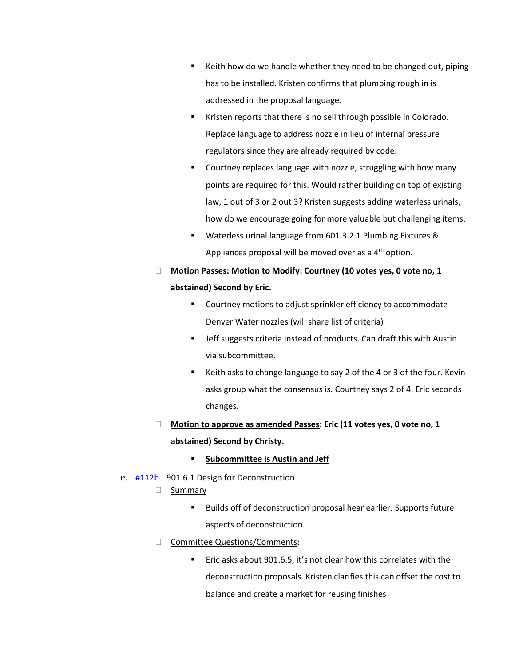- E Keith how do we handle whether they need to be changed out, piping has to be installed. Kristen confirms that plumbing rough in is addressed in the proposal language.
- Kristen reports that there is no sell through possible in Colorado. Replace language to address nozzle in lieu of internal pressure regulators since they are already required by code.
- Courtney replaces language with nozzle, struggling with how many points are required for this. Would rather building on top of existing law, 1 out of 3 or 2 out 3? Kristen suggests adding waterless urinals, how do we encourage going for more valuable but challenging items.
- Waterless urinal language from 601.3.2.1 Plumbing Fixtures & Appliances proposal will be moved over as a  $4<sup>th</sup>$  option.
- **Motion Passes: Motion to Modify: Courtney (10 votes yes, 0 vote no, 1 abstained) Second by Eric.** 
	- **EXECOUT COUT THE VIOLET SHOW THE COUTFUM** COUTTING TO UTTING THE COUNTINGLEY Denver Water nozzles (will share list of criteria)
	- Jeff suggests criteria instead of products. Can draft this with Austin via subcommittee.
	- Keith asks to change language to say 2 of the 4 or 3 of the four. Kevin asks group what the consensus is. Courtney says 2 of 4. Eric seconds changes.
- **Motion to approve as amended Passes: Eric (11 votes yes, 0 vote no, 1 abstained) Second by Christy.** 
	- **Subcommittee is Austin and Jeff**
- e. [#112b](https://www.denvergov.org/files/assets/public/community-planning-and-development/documents/ds/building-codes/code-adoption/amendment-proposals/dgc/112b-901.6.1-design-for-deconstruction.pdf) 901.6.1 Design for Deconstruction
	- □ Summary
		- **Builds off of deconstruction proposal hear earlier. Supports future** aspects of deconstruction.
	- □ Committee Questions/Comments:
		- Eric asks about 901.6.5, it's not clear how this correlates with the deconstruction proposals. Kristen clarifies this can offset the cost to balance and create a market for reusing finishes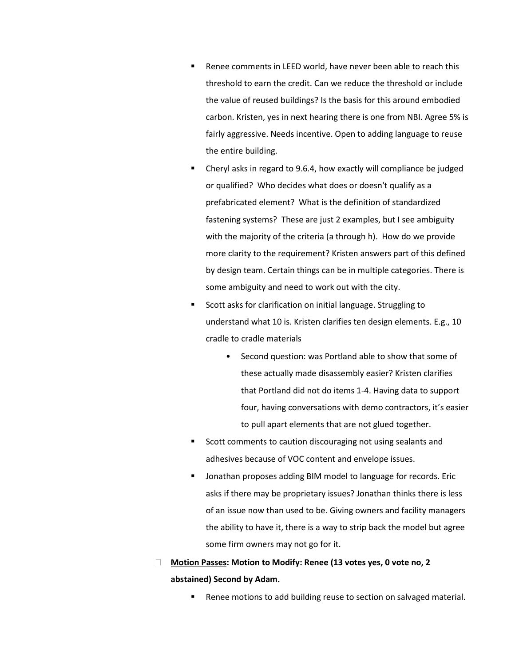- Renee comments in LEED world, have never been able to reach this threshold to earn the credit. Can we reduce the threshold or include the value of reused buildings? Is the basis for this around embodied carbon. Kristen, yes in next hearing there is one from NBI. Agree 5% is fairly aggressive. Needs incentive. Open to adding language to reuse the entire building.
- Cheryl asks in regard to 9.6.4, how exactly will compliance be judged or qualified? Who decides what does or doesn't qualify as a prefabricated element? What is the definition of standardized fastening systems? These are just 2 examples, but I see ambiguity with the majority of the criteria (a through h). How do we provide more clarity to the requirement? Kristen answers part of this defined by design team. Certain things can be in multiple categories. There is some ambiguity and need to work out with the city.
- Scott asks for clarification on initial language. Struggling to understand what 10 is. Kristen clarifies ten design elements. E.g., 10 cradle to cradle materials
	- Second question: was Portland able to show that some of these actually made disassembly easier? Kristen clarifies that Portland did not do items 1-4. Having data to support four, having conversations with demo contractors, it's easier to pull apart elements that are not glued together.
- Scott comments to caution discouraging not using sealants and adhesives because of VOC content and envelope issues.
- Jonathan proposes adding BIM model to language for records. Eric asks if there may be proprietary issues? Jonathan thinks there is less of an issue now than used to be. Giving owners and facility managers the ability to have it, there is a way to strip back the model but agree some firm owners may not go for it.
- **Motion Passes: Motion to Modify: Renee (13 votes yes, 0 vote no, 2 abstained) Second by Adam.** 
	- Renee motions to add building reuse to section on salvaged material.